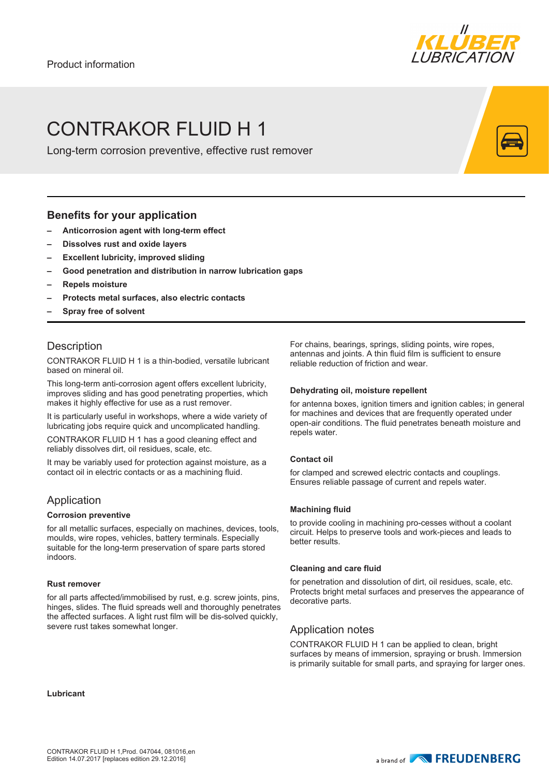

# CONTRAKOR FLUID H 1

Long-term corrosion preventive, effective rust remover

### **Benefits for your application**

- **– Anticorrosion agent with long-term effect**
- **– Dissolves rust and oxide layers**
- **– Excellent lubricity, improved sliding**
- **– Good penetration and distribution in narrow lubrication gaps**
- **– Repels moisture**
- **– Protects metal surfaces, also electric contacts**
- **– Spray free of solvent**

# **Description**

CONTRAKOR FLUID H 1 is a thin-bodied, versatile lubricant based on mineral oil.

This long-term anti-corrosion agent offers excellent lubricity, improves sliding and has good penetrating properties, which makes it highly effective for use as a rust remover.

It is particularly useful in workshops, where a wide variety of lubricating jobs require quick and uncomplicated handling.

CONTRAKOR FLUID H 1 has a good cleaning effect and reliably dissolves dirt, oil residues, scale, etc.

It may be variably used for protection against moisture, as a contact oil in electric contacts or as a machining fluid.

## Application

#### **Corrosion preventive**

for all metallic surfaces, especially on machines, devices, tools, moulds, wire ropes, vehicles, battery terminals. Especially suitable for the long-term preservation of spare parts stored indoors.

#### **Rust remover**

for all parts affected/immobilised by rust, e.g. screw joints, pins, hinges, slides. The fluid spreads well and thoroughly penetrates the affected surfaces. A light rust film will be dis-solved quickly, severe rust takes somewhat longer.

For chains, bearings, springs, sliding points, wire ropes, antennas and joints. A thin fluid film is sufficient to ensure reliable reduction of friction and wear.

#### **Dehydrating oil, moisture repellent**

for antenna boxes, ignition timers and ignition cables; in general for machines and devices that are frequently operated under open-air conditions. The fluid penetrates beneath moisture and repels water.

#### **Contact oil**

for clamped and screwed electric contacts and couplings. Ensures reliable passage of current and repels water.

#### **Machining fluid**

to provide cooling in machining pro-cesses without a coolant circuit. Helps to preserve tools and work-pieces and leads to better results.

#### **Cleaning and care fluid**

for penetration and dissolution of dirt, oil residues, scale, etc. Protects bright metal surfaces and preserves the appearance of decorative parts.

## Application notes

CONTRAKOR FLUID H 1 can be applied to clean, bright surfaces by means of immersion, spraying or brush. Immersion is primarily suitable for small parts, and spraying for larger ones.

**Lubricant**

a brand of **NONE FREUDENBERG**